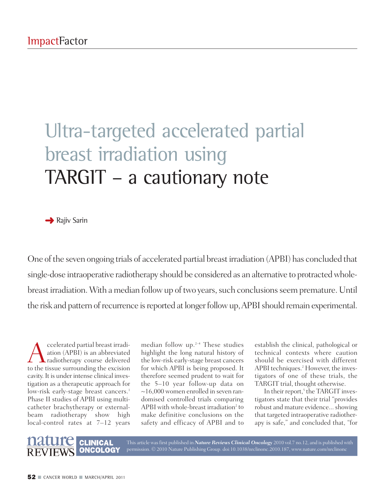## Ultra-targeted accelerated partial breast irradiation using TARGIT – a cautionary note

**→ Rajiv Sarin** 

One of the seven ongoing trials of accelerated partial breast irradiation (APBI) has concluded that single-dose intraoperative radiotherapy should be considered as an alternative to protracted wholebreast irradiation. With a median follow up of two years, such conclusions seem premature. Until the risk and pattern of recurrence is reported at longer follow up, APBI should remain experimental.

celerated partial breast irradiation (APBI) is an abbreviated<br>radiotherapy course delivered<br>to the tissue surrounding the excision ation (APBI) is an abbreviated radiotherapy course delivered to the tissue surrounding the excision cavity. It is under intense clinical investigation as a therapeutic approach for low-risk early-stage breast cancers. 1 Phase II studies of APBI using multicatheter brachytherapy or externalbeam radiotherapy show high local-control rates at 7–12 years

median follow up. 2–4 These studies highlight the long natural history of the low-risk early-stage breast cancers for which APBI is being proposed. It therefore seemed prudent to wait for the 5–10 year follow-up data on  $\sim$ 16,000 women enrolled in seven randomised controlled trials comparing APBI with whole-breast irradiation<sup>2</sup> to make definitive conclusions on the safety and efficacy of APBI and to

establish the clinical, pathological or technical contexts where caution should be exercised with different APBI techniques. <sup>2</sup> However, the investigators of one of these trials, the TARGIT trial, thought otherwise.

In their report, <sup>5</sup> the TARGIT investigators state that their trial "provides robust and mature evidence... showing that targeted intraoperative radiotherapy is safe," and concluded that, "for



This article wasfirst published in *Nature Reviews Clinical Oncology* 2010 vol.7 no.12, and is published with permission. © 2010 Nature Publishing Group. doi:10.1038/nrclinonc.2010.187, www.nature.com/nrclinonc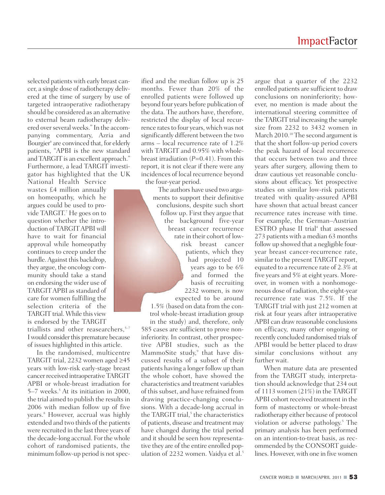selected patients with early breast cancer, a single dose of radiotherapy delivered at the time of surgery by use of targeted intraoperative radiotherapy should be considered as an alternative to external beam radiotherapy delivered over several weeks." In the accompanying commentary, Azria and Bourgier <sup>6</sup> are convinced that, for elderly patients, "APBI is the new standard and TARGIT is an excellent approach." Furthermore, a lead TARGIT investigator has highlighted that the UK

National Health Service wastes £4 million annually on homeopathy, which he argues could be used to provide TARGIT. <sup>7</sup> He goes on to question whether the introduction of TARGITAPBI will have to wait for financial approval while homeopathy continues to creep under the hurdle.Against this backdrop, they argue, the oncology community should take a stand on endorsing the wider use of TARGIT APBI as standard of care for women fulfilling the selection criteria of the TARGIT trial. While this view is endorsed by the TARGIT triallists and other reasearchers, 5–7 I would consider this premature because of issues highlighted in this article.

In the randomised, multicentre TARGIT trial, 2232 women aged ≥45 years with low-risk early-stage breast cancer received intraoperative TARGIT APBI or whole-breast irradiation for 5–7 weeks. <sup>5</sup> At its initiation in 2000, the trial aimed to publish the resultsin 2006 with median follow up of five years. <sup>8</sup> However, accrual was highly extended and two thirds of the patients were recruited in the last three years of the decade-long accrual. For the whole cohort of randomised patients, the minimum follow-up period is not specified and the median follow up is 25 months. Fewer than 20% of the enrolled patients were followed up beyond four years before publication of the data. The authors have, therefore, restricted the display of local recurrence rates to four years, which was not significantly different between the two arms – local recurrence rate of 1.2% with TARGIT and 0.95% with wholebreast irradiation (*P*=0.41). From this report, it is not clear if there were any incidences of local recurrence beyond the four-year period.

The authors have used two arguments to support their definitive conclusions, despite such short follow up. First they argue that the background five-year breast cancer recurrence rate in their cohort of lowrisk breast cancer patients, which they had projected 10 years ago to be 6% and formed the basis of recruiting 2232 women, is now

expected to be around 1.5% (based on data from the control whole-breast irradiation group in the study) and, therefore, only 585 cases are sufficient to prove noninferiority. In contrast, other prospective APBI studies, such as the MammoSite study, <sup>9</sup> that have discussed results of a subset of their patients having a longer follow up than the whole cohort, have showed the characteristics and treatment variables of this subset, and have refrained from drawing practice-changing conclusions. With a decade-long accrual in the TARGIT trial, <sup>5</sup> the characteristics of patients, disease and treatment may have changed during the trial period and it should be seen how representative they are of the entire enrolled population of 2232 women. Vaidya et al. 5

argue that a quarter of the 2232 enrolled patients are sufficient to draw conclusions on noninferiority; however, no mention is made about the international steering committee of the TARGIT trial increasing the sample size from 2232 to 3432 women in March 2010.<sup>10</sup> The second argument is that the short follow-up period covers the peak hazard of local recurrence that occurs between two and three years after surgery, allowing them to draw cautious yet reasonable conclusions about efficacy. Yet prospective studies on similar low-risk patients treated with quality-assured APBI have shown that actual breast cancer recurrence rates increase with time. For example, the German–Austrian ESTRO phase II trial <sup>4</sup> that assessed 273 patients with a median 63 months follow up showed that a negligible fouryear breast cancer-recurrence rate, similar to the present TARGIT report, equated to a recurrence rate of 2.3% at five years and 5% at eight years. Moreover, in women with a nonhomogeneous dose of radiation, the eight-year recurrence rate was 7.5%. If the TARGIT trial with just 212 women at risk at four years after intraoperative APBI can draw reasonable conclusions on efficacy, many other ongoing or recently concluded randomised trials of APBI would be better placed to draw similar conclusions without any further wait.

When mature data are presented from the TARGIT study, interpretation should acknowledge that 234 out of 1113 women (21%) in the TARGIT APBI cohort received treatment in the form of mastectomy or whole-breast radiotherapy either because of protocol violation or adverse pathology. <sup>5</sup> The primary analysis has been performed on an intention-to-treat basis, as recommended by the CONSORT guidelines. However, with one in five women